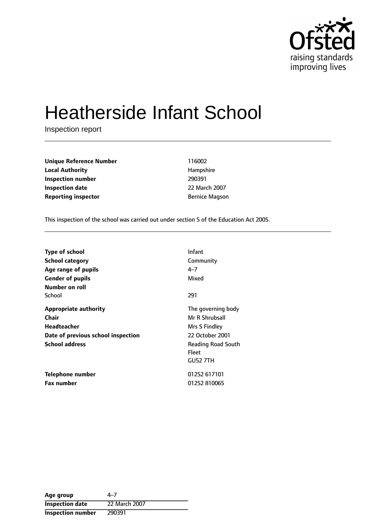

# Heatherside Infant School

Inspection report

| <b>Unique Reference Number</b> | 116002                |
|--------------------------------|-----------------------|
| <b>Local Authority</b>         | Hampshire             |
| Inspection number              | 290391                |
| <b>Inspection date</b>         | 22 March 2007         |
| <b>Reporting inspector</b>     | <b>Bernice Magson</b> |

This inspection of the school was carried out under section 5 of the Education Act 2005.

| <b>Type of school</b><br>School category<br>Age range of pupils<br><b>Gender of pupils</b><br>Number on roll                      | Infant<br>Community<br>$4 - 7$<br>Mixed                                                                                           |
|-----------------------------------------------------------------------------------------------------------------------------------|-----------------------------------------------------------------------------------------------------------------------------------|
| School                                                                                                                            | 291                                                                                                                               |
| <b>Appropriate authority</b><br><b>Chair</b><br><b>Headteacher</b><br>Date of previous school inspection<br><b>School address</b> | The governing body<br>Mr R Shrubsall<br>Mrs S Findley<br>22 October 2001<br><b>Reading Road South</b><br>Fleet<br><b>GU52 7TH</b> |
| <b>Telephone number</b><br><b>Fax number</b>                                                                                      | 01252 617101<br>01252 810065                                                                                                      |

| Age group                | 4–7           |
|--------------------------|---------------|
| <b>Inspection date</b>   | 22 March 2007 |
| <b>Inspection number</b> | 290391        |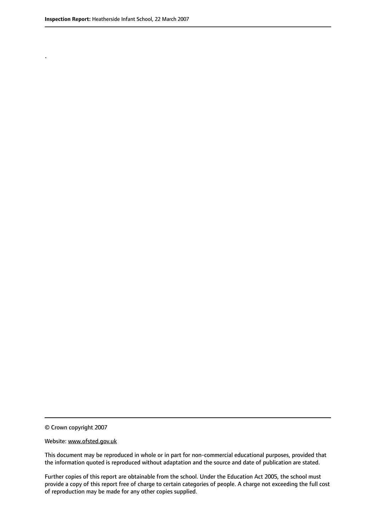.

© Crown copyright 2007

#### Website: www.ofsted.gov.uk

This document may be reproduced in whole or in part for non-commercial educational purposes, provided that the information quoted is reproduced without adaptation and the source and date of publication are stated.

Further copies of this report are obtainable from the school. Under the Education Act 2005, the school must provide a copy of this report free of charge to certain categories of people. A charge not exceeding the full cost of reproduction may be made for any other copies supplied.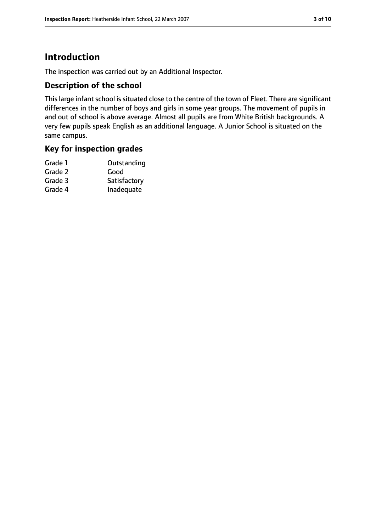# **Introduction**

The inspection was carried out by an Additional Inspector.

## **Description of the school**

This large infant school is situated close to the centre of the town of Fleet. There are significant differences in the number of boys and girls in some year groups. The movement of pupils in and out of school is above average. Almost all pupils are from White British backgrounds. A very few pupils speak English as an additional language. A Junior School is situated on the same campus.

## **Key for inspection grades**

| Outstanding  |
|--------------|
| Good         |
| Satisfactory |
| Inadequate   |
|              |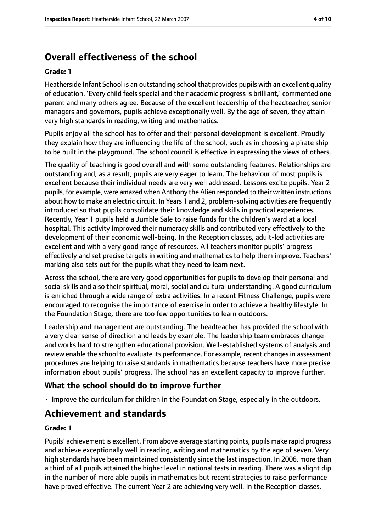# **Overall effectiveness of the school**

#### **Grade: 1**

Heatherside Infant School is an outstanding school that provides pupils with an excellent quality of education. 'Every child feels special and their academic progress is brilliant,' commented one parent and many others agree. Because of the excellent leadership of the headteacher, senior managers and governors, pupils achieve exceptionally well. By the age of seven, they attain very high standards in reading, writing and mathematics.

Pupils enjoy all the school has to offer and their personal development is excellent. Proudly they explain how they are influencing the life of the school, such as in choosing a pirate ship to be built in the playground. The school council is effective in expressing the views of others.

The quality of teaching is good overall and with some outstanding features. Relationships are outstanding and, as a result, pupils are very eager to learn. The behaviour of most pupils is excellent because their individual needs are very well addressed. Lessons excite pupils. Year 2 pupils, for example, were amazed when Anthony the Alien responded to their written instructions about how to make an electric circuit. In Years 1 and 2, problem-solving activities are frequently introduced so that pupils consolidate their knowledge and skills in practical experiences. Recently, Year 1 pupils held a Jumble Sale to raise funds for the children's ward at a local hospital. This activity improved their numeracy skills and contributed very effectively to the development of their economic well-being. In the Reception classes, adult-led activities are excellent and with a very good range of resources. All teachers monitor pupils' progress effectively and set precise targets in writing and mathematics to help them improve. Teachers' marking also sets out for the pupils what they need to learn next.

Across the school, there are very good opportunities for pupils to develop their personal and social skills and also their spiritual, moral, social and cultural understanding. A good curriculum is enriched through a wide range of extra activities. In a recent Fitness Challenge, pupils were encouraged to recognise the importance of exercise in order to achieve a healthy lifestyle. In the Foundation Stage, there are too few opportunities to learn outdoors.

Leadership and management are outstanding. The headteacher has provided the school with a very clear sense of direction and leads by example. The leadership team embraces change and works hard to strengthen educational provision. Well-established systems of analysis and review enable the school to evaluate its performance. For example, recent changes in assessment procedures are helping to raise standards in mathematics because teachers have more precise information about pupils' progress. The school has an excellent capacity to improve further.

## **What the school should do to improve further**

• Improve the curriculum for children in the Foundation Stage, especially in the outdoors.

# **Achievement and standards**

#### **Grade: 1**

Pupils' achievement is excellent. From above average starting points, pupils make rapid progress and achieve exceptionally well in reading, writing and mathematics by the age of seven. Very high standards have been maintained consistently since the last inspection. In 2006, more than a third of all pupils attained the higher level in national tests in reading. There was a slight dip in the number of more able pupils in mathematics but recent strategies to raise performance have proved effective. The current Year 2 are achieving very well. In the Reception classes,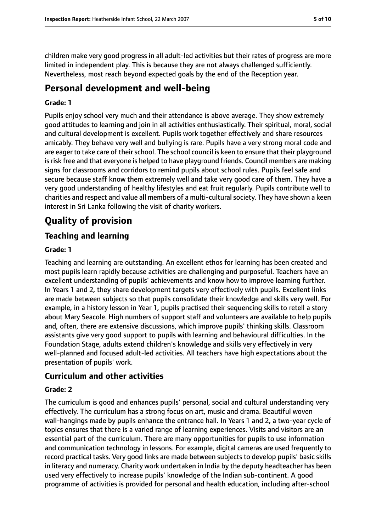children make very good progress in all adult-led activities but their rates of progress are more limited in independent play. This is because they are not always challenged sufficiently. Nevertheless, most reach beyond expected goals by the end of the Reception year.

# **Personal development and well-being**

#### **Grade: 1**

Pupils enjoy school very much and their attendance is above average. They show extremely good attitudes to learning and join in all activities enthusiastically. Their spiritual, moral, social and cultural development is excellent. Pupils work together effectively and share resources amicably. They behave very well and bullying is rare. Pupils have a very strong moral code and are eager to take care of their school. The school council is keen to ensure that their playground isrisk free and that everyone is helped to have playground friends. Council members are making signs for classrooms and corridors to remind pupils about school rules. Pupils feel safe and secure because staff know them extremely well and take very good care of them. They have a very good understanding of healthy lifestyles and eat fruit regularly. Pupils contribute well to charities and respect and value all members of a multi-cultural society. They have shown a keen interest in Sri Lanka following the visit of charity workers.

# **Quality of provision**

## **Teaching and learning**

#### **Grade: 1**

Teaching and learning are outstanding. An excellent ethos for learning has been created and most pupils learn rapidly because activities are challenging and purposeful. Teachers have an excellent understanding of pupils' achievements and know how to improve learning further. In Years 1 and 2, they share development targets very effectively with pupils. Excellent links are made between subjects so that pupils consolidate their knowledge and skills very well. For example, in a history lesson in Year 1, pupils practised their sequencing skills to retell a story about Mary Seacole. High numbers of support staff and volunteers are available to help pupils and, often, there are extensive discussions, which improve pupils' thinking skills. Classroom assistants give very good support to pupils with learning and behavioural difficulties. In the Foundation Stage, adults extend children's knowledge and skills very effectively in very well-planned and focused adult-led activities. All teachers have high expectations about the presentation of pupils' work.

### **Curriculum and other activities**

#### **Grade: 2**

The curriculum is good and enhances pupils' personal, social and cultural understanding very effectively. The curriculum has a strong focus on art, music and drama. Beautiful woven wall-hangings made by pupils enhance the entrance hall. In Years 1 and 2, a two-year cycle of topics ensures that there is a varied range of learning experiences. Visits and visitors are an essential part of the curriculum. There are many opportunities for pupils to use information and communication technology in lessons. For example, digital cameras are used frequently to record practical tasks. Very good links are made between subjects to develop pupils' basic skills in literacy and numeracy. Charity work undertaken in India by the deputy headteacher has been used very effectively to increase pupils' knowledge of the Indian sub-continent. A good programme of activities is provided for personal and health education, including after-school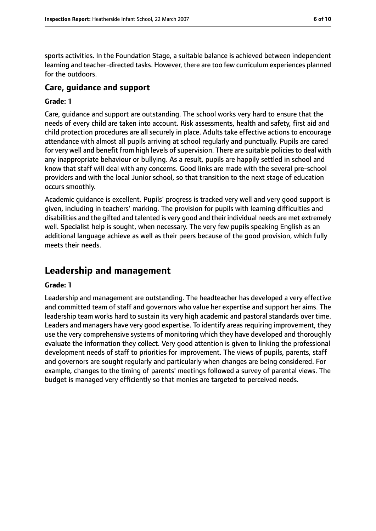sports activities. In the Foundation Stage, a suitable balance is achieved between independent learning and teacher-directed tasks. However, there are too few curriculum experiences planned for the outdoors.

## **Care, guidance and support**

#### **Grade: 1**

Care, guidance and support are outstanding. The school works very hard to ensure that the needs of every child are taken into account. Risk assessments, health and safety, first aid and child protection procedures are all securely in place. Adults take effective actions to encourage attendance with almost all pupils arriving at school regularly and punctually. Pupils are cared for very well and benefit from high levels of supervision. There are suitable policies to deal with any inappropriate behaviour or bullying. As a result, pupils are happily settled in school and know that staff will deal with any concerns. Good links are made with the several pre-school providers and with the local Junior school, so that transition to the next stage of education occurs smoothly.

Academic guidance is excellent. Pupils' progress is tracked very well and very good support is given, including in teachers' marking. The provision for pupils with learning difficulties and disabilities and the gifted and talented is very good and their individual needs are met extremely well. Specialist help is sought, when necessary. The very few pupils speaking English as an additional language achieve as well as their peers because of the good provision, which fully meets their needs.

## **Leadership and management**

#### **Grade: 1**

Leadership and management are outstanding. The headteacher has developed a very effective and committed team of staff and governors who value her expertise and support her aims. The leadership team works hard to sustain its very high academic and pastoral standards over time. Leaders and managers have very good expertise. To identify areas requiring improvement, they use the very comprehensive systems of monitoring which they have developed and thoroughly evaluate the information they collect. Very good attention is given to linking the professional development needs of staff to priorities for improvement. The views of pupils, parents, staff and governors are sought regularly and particularly when changes are being considered. For example, changes to the timing of parents' meetings followed a survey of parental views. The budget is managed very efficiently so that monies are targeted to perceived needs.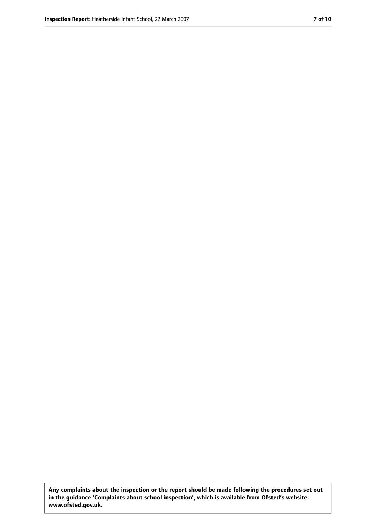**Any complaints about the inspection or the report should be made following the procedures set out in the guidance 'Complaints about school inspection', which is available from Ofsted's website: www.ofsted.gov.uk.**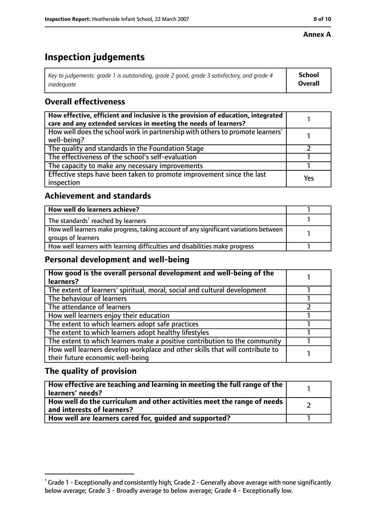#### **Annex A**

# **Inspection judgements**

| Key to judgements: grade 1 is outstanding, grade 2 good, grade 3 satisfactory, and grade 4 | School         |
|--------------------------------------------------------------------------------------------|----------------|
| inadeguate                                                                                 | <b>Overall</b> |

## **Overall effectiveness**

| How effective, efficient and inclusive is the provision of education, integrated<br>care and any extended services in meeting the needs of learners? |     |
|------------------------------------------------------------------------------------------------------------------------------------------------------|-----|
| How well does the school work in partnership with others to promote learners'<br>well-being?                                                         |     |
| The quality and standards in the Foundation Stage                                                                                                    |     |
| The effectiveness of the school's self-evaluation                                                                                                    |     |
| The capacity to make any necessary improvements                                                                                                      |     |
| Effective steps have been taken to promote improvement since the last<br>inspection                                                                  | Yes |

## **Achievement and standards**

| How well do learners achieve?                                                                               |  |
|-------------------------------------------------------------------------------------------------------------|--|
| The standards <sup>1</sup> reached by learners                                                              |  |
| How well learners make progress, taking account of any significant variations between<br>groups of learners |  |
| How well learners with learning difficulties and disabilities make progress                                 |  |

## **Personal development and well-being**

| How good is the overall personal development and well-being of the<br>learners? |  |
|---------------------------------------------------------------------------------|--|
|                                                                                 |  |
| The extent of learners' spiritual, moral, social and cultural development       |  |
| The behaviour of learners                                                       |  |
| The attendance of learners                                                      |  |
| How well learners enjoy their education                                         |  |
| The extent to which learners adopt safe practices                               |  |
| The extent to which learners adopt healthy lifestyles                           |  |
| The extent to which learners make a positive contribution to the community      |  |
| How well learners develop workplace and other skills that will contribute to    |  |
| their future economic well-being                                                |  |

## **The quality of provision**

| How effective are teaching and learning in meeting the full range of the<br>learners' needs?          |  |
|-------------------------------------------------------------------------------------------------------|--|
| How well do the curriculum and other activities meet the range of needs<br>and interests of learners? |  |
| How well are learners cared for, quided and supported?                                                |  |

 $^1$  Grade 1 - Exceptionally and consistently high; Grade 2 - Generally above average with none significantly below average; Grade 3 - Broadly average to below average; Grade 4 - Exceptionally low.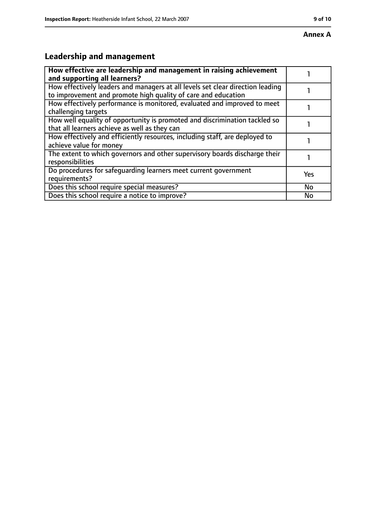# **Leadership and management**

| How effective are leadership and management in raising achievement<br>and supporting all learners?                                              |           |
|-------------------------------------------------------------------------------------------------------------------------------------------------|-----------|
| How effectively leaders and managers at all levels set clear direction leading<br>to improvement and promote high quality of care and education |           |
| How effectively performance is monitored, evaluated and improved to meet<br>challenging targets                                                 |           |
| How well equality of opportunity is promoted and discrimination tackled so<br>that all learners achieve as well as they can                     |           |
| How effectively and efficiently resources, including staff, are deployed to<br>achieve value for money                                          |           |
| The extent to which governors and other supervisory boards discharge their<br>responsibilities                                                  |           |
| Do procedures for safeguarding learners meet current government<br>requirements?                                                                | Yes       |
| Does this school require special measures?                                                                                                      | <b>No</b> |
| Does this school require a notice to improve?                                                                                                   | No        |